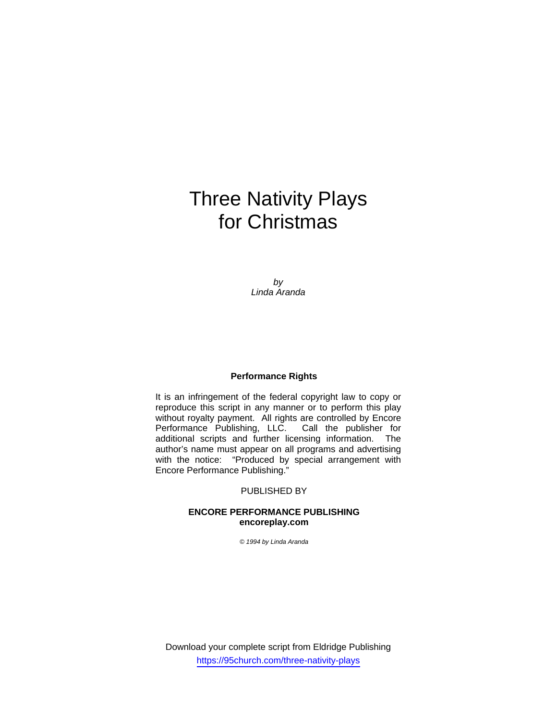# Three Nativity Plays for Christmas

*by Linda Aranda* 

## **Performance Rights**

It is an infringement of the federal copyright law to copy or reproduce this script in any manner or to perform this play without royalty payment. All rights are controlled by Encore Performance Publishing, LLC. Call the publisher for additional scripts and further licensing information. The author's name must appear on all programs and advertising with the notice: "Produced by special arrangement with Encore Performance Publishing."

#### PUBLISHED BY

#### **ENCORE PERFORMANCE PUBLISHING encoreplay.com**

*© 1994 by Linda Aranda* 

Download your complete script from Eldridge Publishing https://95church.com/three-nativity-plays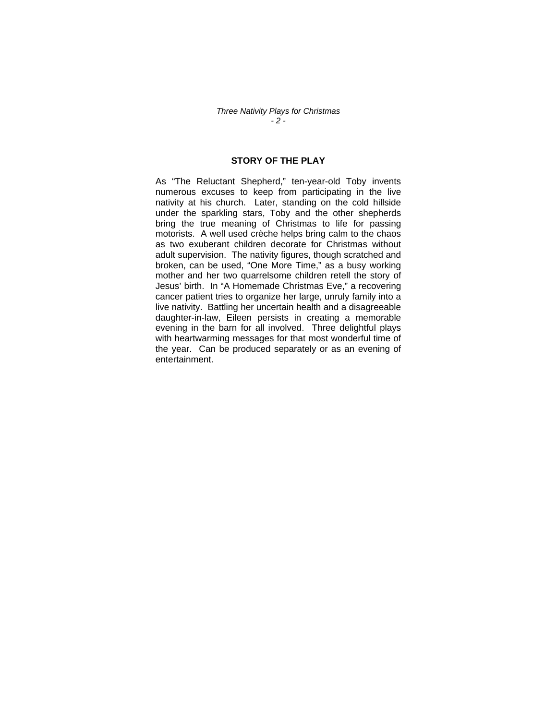### **STORY OF THE PLAY**

As "The Reluctant Shepherd," ten-year-old Toby invents numerous excuses to keep from participating in the live nativity at his church. Later, standing on the cold hillside under the sparkling stars, Toby and the other shepherds bring the true meaning of Christmas to life for passing motorists. A well used crèche helps bring calm to the chaos as two exuberant children decorate for Christmas without adult supervision. The nativity figures, though scratched and broken, can be used, "One More Time," as a busy working mother and her two quarrelsome children retell the story of Jesus' birth. In "A Homemade Christmas Eve," a recovering cancer patient tries to organize her large, unruly family into a live nativity. Battling her uncertain health and a disagreeable daughter-in-law, Eileen persists in creating a memorable evening in the barn for all involved. Three delightful plays with heartwarming messages for that most wonderful time of the year. Can be produced separately or as an evening of entertainment.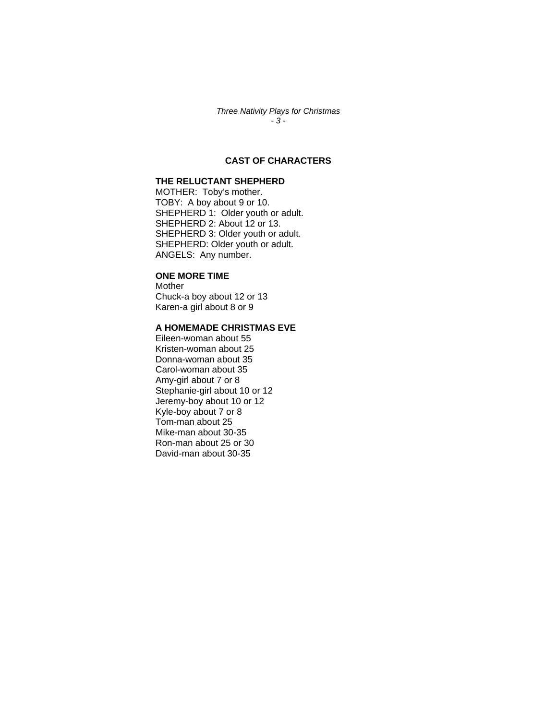*Three Nativity Plays for Christmas - 3 -* 

## **CAST OF CHARACTERS**

## **THE RELUCTANT SHEPHERD**

MOTHER: Toby's mother. TOBY: A boy about 9 or 10. SHEPHERD 1: Older youth or adult. SHEPHERD 2: About 12 or 13. SHEPHERD 3: Older youth or adult. SHEPHERD: Older youth or adult. ANGELS: Any number.

## **ONE MORE TIME**

Mother Chuck-a boy about 12 or 13 Karen-a girl about 8 or 9

#### **A HOMEMADE CHRISTMAS EVE**

Eileen-woman about 55 Kristen-woman about 25 Donna-woman about 35 Carol-woman about 35 Amy-girl about 7 or 8 Stephanie-girl about 10 or 12 Jeremy-boy about 10 or 12 Kyle-boy about 7 or 8 Tom-man about 25 Mike-man about 30-35 Ron-man about 25 or 30 David-man about 30-35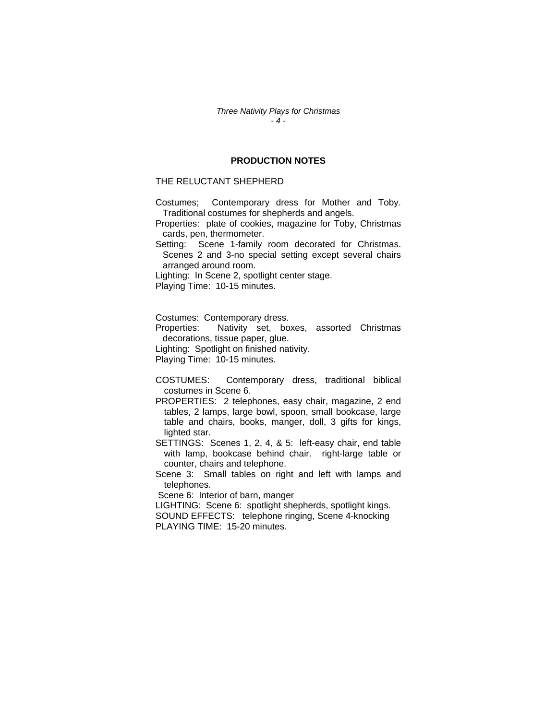### **PRODUCTION NOTES**

## THE RELUCTANT SHEPHERD

Costumes; Contemporary dress for Mother and Toby. Traditional costumes for shepherds and angels.

Properties: plate of cookies, magazine for Toby, Christmas cards, pen, thermometer.

Setting: Scene 1-family room decorated for Christmas. Scenes 2 and 3-no special setting except several chairs arranged around room.

Lighting: In Scene 2, spotlight center stage.

Playing Time: 10-15 minutes.

Costumes: Contemporary dress.

Properties: Nativity set, boxes, assorted Christmas decorations, tissue paper, glue.

Lighting: Spotlight on finished nativity.

Playing Time: 10-15 minutes.

COSTUMES: Contemporary dress, traditional biblical costumes in Scene 6.

PROPERTIES: 2 telephones, easy chair, magazine, 2 end tables, 2 lamps, large bowl, spoon, small bookcase, large table and chairs, books, manger, doll, 3 gifts for kings, lighted star.

SETTINGS: Scenes 1, 2, 4, & 5: left-easy chair, end table with lamp, bookcase behind chair. right-large table or counter, chairs and telephone.

Scene 3: Small tables on right and left with lamps and telephones.

Scene 6: Interior of barn, manger

LIGHTING: Scene 6: spotlight shepherds, spotlight kings. SOUND EFFECTS: telephone ringing, Scene 4-knocking

PLAYING TIME: 15-20 minutes.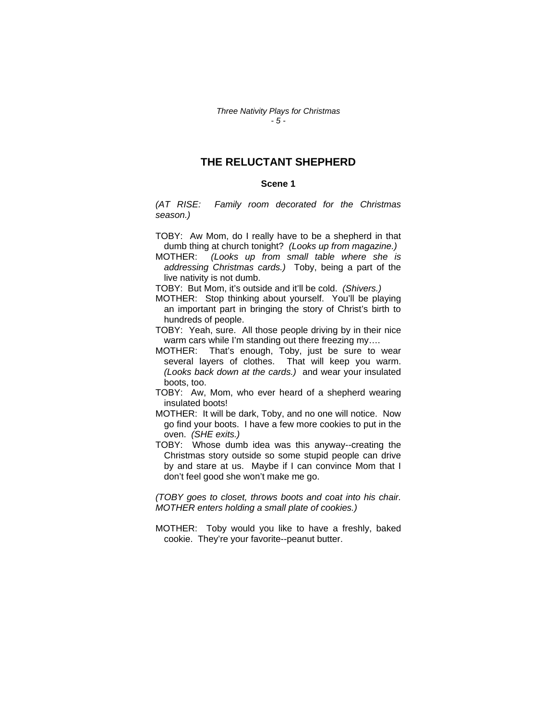## **THE RELUCTANT SHEPHERD**

#### **Scene 1**

*(AT RISE: Family room decorated for the Christmas season.)* 

- TOBY: Aw Mom, do I really have to be a shepherd in that dumb thing at church tonight? *(Looks up from magazine.)*
- MOTHER: *(Looks up from small table where she is addressing Christmas cards.)* Toby, being a part of the live nativity is not dumb.

TOBY: But Mom, it's outside and it'll be cold. *(Shivers.)*

- MOTHER: Stop thinking about yourself. You'll be playing an important part in bringing the story of Christ's birth to hundreds of people.
- TOBY: Yeah, sure. All those people driving by in their nice warm cars while I'm standing out there freezing my….
- MOTHER: That's enough, Toby, just be sure to wear several layers of clothes. That will keep you warm. *(Looks back down at the cards.)* and wear your insulated boots, too.
- TOBY: Aw, Mom, who ever heard of a shepherd wearing insulated boots!
- MOTHER: It will be dark, Toby, and no one will notice. Now go find your boots. I have a few more cookies to put in the oven. *(SHE exits.)*
- TOBY: Whose dumb idea was this anyway--creating the Christmas story outside so some stupid people can drive by and stare at us. Maybe if I can convince Mom that I don't feel good she won't make me go.

*(TOBY goes to closet, throws boots and coat into his chair. MOTHER enters holding a small plate of cookies.)*

MOTHER: Toby would you like to have a freshly, baked cookie. They're your favorite--peanut butter.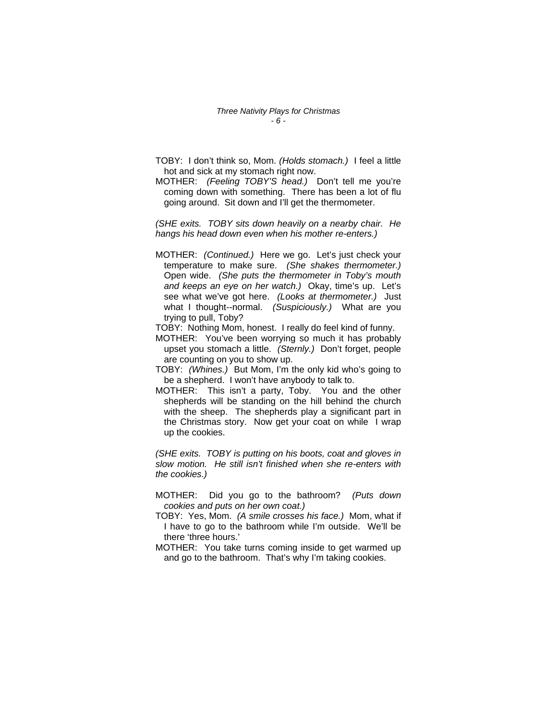- TOBY: I don't think so, Mom. *(Holds stomach.)* I feel a little hot and sick at my stomach right now.
- MOTHER: *(Feeling TOBY'S head.)* Don't tell me you're coming down with something. There has been a lot of flu going around. Sit down and I'll get the thermometer.

*(SHE exits. TOBY sits down heavily on a nearby chair. He hangs his head down even when his mother re-enters.)* 

- MOTHER: *(Continued.)* Here we go. Let's just check your temperature to make sure. *(She shakes thermometer.)* Open wide. *(She puts the thermometer in Toby's mouth and keeps an eye on her watch.)* Okay, time's up. Let's see what we've got here. *(Looks at thermometer.)* Just what I thought--normal. *(Suspiciously.)* What are you trying to pull, Toby?
- TOBY: Nothing Mom, honest. I really do feel kind of funny.
- MOTHER: You've been worrying so much it has probably upset you stomach a little. *(Sternly.)* Don't forget, people are counting on you to show up.
- TOBY: *(Whines.)* But Mom, I'm the only kid who's going to be a shepherd. I won't have anybody to talk to.
- MOTHER: This isn't a party, Toby. You and the other shepherds will be standing on the hill behind the church with the sheep. The shepherds play a significant part in the Christmas story. Now get your coat on while I wrap up the cookies.

*(SHE exits. TOBY is putting on his boots, coat and gloves in slow motion. He still isn't finished when she re-enters with the cookies.)* 

- MOTHER: Did you go to the bathroom? *(Puts down cookies and puts on her own coat.)*
- TOBY: Yes, Mom. *(A smile crosses his face.)* Mom, what if I have to go to the bathroom while I'm outside. We'll be there 'three hours.'
- MOTHER: You take turns coming inside to get warmed up and go to the bathroom. That's why I'm taking cookies.